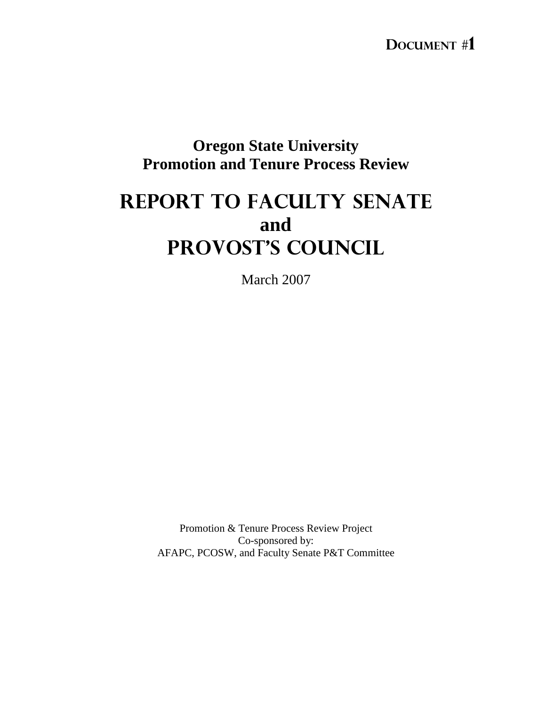DOCUMENT #1

# **Oregon State University Promotion and Tenure Process Review**

# Report to FACULTY SENATE **and**  PROVOST's COUNCIL

March 2007

Promotion & Tenure Process Review Project Co-sponsored by: AFAPC, PCOSW, and Faculty Senate P&T Committee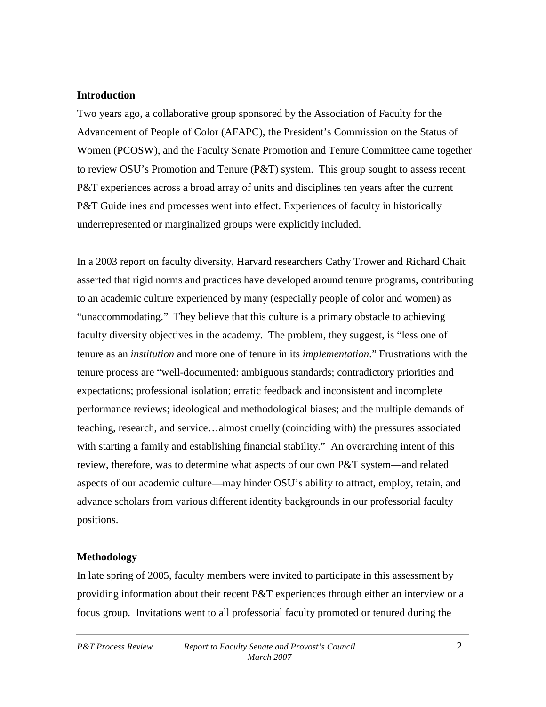#### **Introduction**

Two years ago, a collaborative group sponsored by the Association of Faculty for the Advancement of People of Color (AFAPC), the President's Commission on the Status of Women (PCOSW), and the Faculty Senate Promotion and Tenure Committee came together to review OSU's Promotion and Tenure (P&T) system. This group sought to assess recent P&T experiences across a broad array of units and disciplines ten years after the current P&T Guidelines and processes went into effect. Experiences of faculty in historically underrepresented or marginalized groups were explicitly included.

In a 2003 report on faculty diversity, Harvard researchers Cathy Trower and Richard Chait asserted that rigid norms and practices have developed around tenure programs, contributing to an academic culture experienced by many (especially people of color and women) as "unaccommodating." They believe that this culture is a primary obstacle to achieving faculty diversity objectives in the academy. The problem, they suggest, is "less one of tenure as an *institution* and more one of tenure in its *implementation*." Frustrations with the tenure process are "well-documented: ambiguous standards; contradictory priorities and expectations; professional isolation; erratic feedback and inconsistent and incomplete performance reviews; ideological and methodological biases; and the multiple demands of teaching, research, and service…almost cruelly (coinciding with) the pressures associated with starting a family and establishing financial stability." An overarching intent of this review, therefore, was to determine what aspects of our own P&T system—and related aspects of our academic culture—may hinder OSU's ability to attract, employ, retain, and advance scholars from various different identity backgrounds in our professorial faculty positions.

#### **Methodology**

In late spring of 2005, faculty members were invited to participate in this assessment by providing information about their recent P&T experiences through either an interview or a focus group. Invitations went to all professorial faculty promoted or tenured during the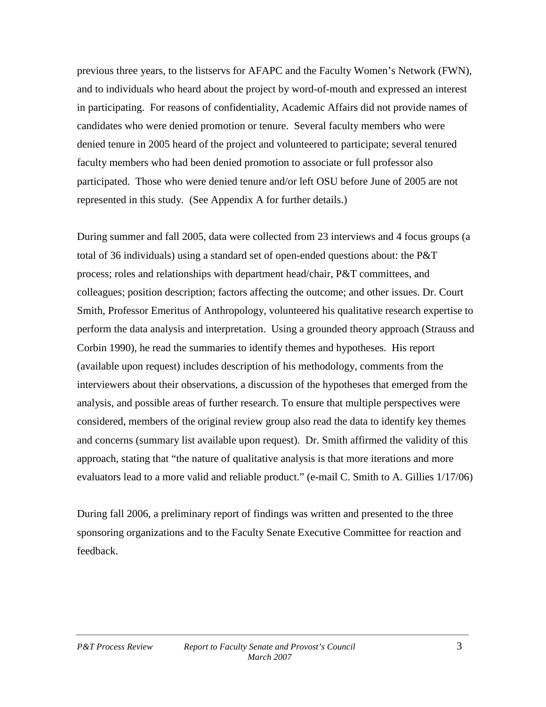previous three years, to the listservs for AFAPC and the Faculty Women's Network (FWN), and to individuals who heard about the project by word-of-mouth and expressed an interest in participating. For reasons of confidentiality, Academic Affairs did not provide names of candidates who were denied promotion or tenure. Several faculty members who were denied tenure in 2005 heard of the project and volunteered to participate; several tenured faculty members who had been denied promotion to associate or full professor also participated. Those who were denied tenure and/or left OSU before June of 2005 are not represented in this study. (See Appendix A for further details.)

During summer and fall 2005, data were collected from 23 interviews and 4 focus groups (a total of 36 individuals) using a standard set of open-ended questions about: the P&T process; roles and relationships with department head/chair, P&T committees, and colleagues; position description; factors affecting the outcome; and other issues. Dr. Court Smith, Professor Emeritus of Anthropology, volunteered his qualitative research expertise to perform the data analysis and interpretation. Using a grounded theory approach (Strauss and Corbin 1990), he read the summaries to identify themes and hypotheses. His report (available upon request) includes description of his methodology, comments from the interviewers about their observations, a discussion of the hypotheses that emerged from the analysis, and possible areas of further research. To ensure that multiple perspectives were considered, members of the original review group also read the data to identify key themes and concerns (summary list available upon request). Dr. Smith affirmed the validity of this approach, stating that "the nature of qualitative analysis is that more iterations and more evaluators lead to a more valid and reliable product." (e-mail C. Smith to A. Gillies 1/17/06)

During fall 2006, a preliminary report of findings was written and presented to the three sponsoring organizations and to the Faculty Senate Executive Committee for reaction and feedback.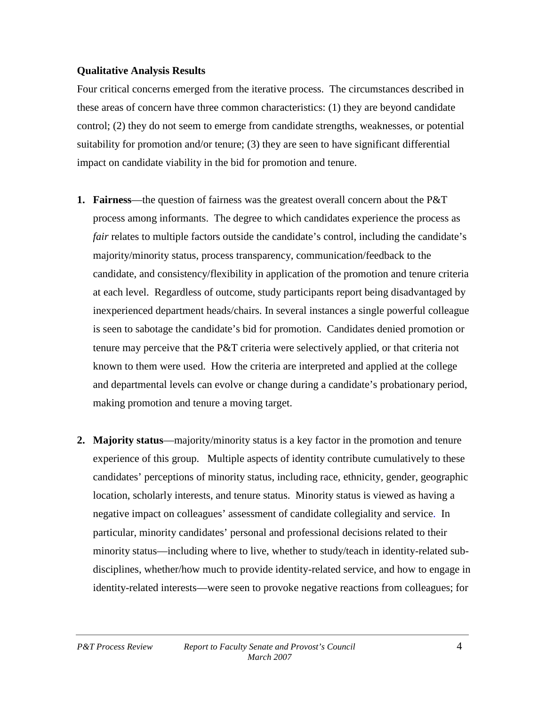#### **Qualitative Analysis Results**

Four critical concerns emerged from the iterative process. The circumstances described in these areas of concern have three common characteristics: (1) they are beyond candidate control; (2) they do not seem to emerge from candidate strengths, weaknesses, or potential suitability for promotion and/or tenure; (3) they are seen to have significant differential impact on candidate viability in the bid for promotion and tenure.

- **1. Fairness**—the question of fairness was the greatest overall concern about the P&T process among informants. The degree to which candidates experience the process as *fair* relates to multiple factors outside the candidate's control, including the candidate's majority/minority status, process transparency, communication/feedback to the candidate, and consistency/flexibility in application of the promotion and tenure criteria at each level. Regardless of outcome, study participants report being disadvantaged by inexperienced department heads/chairs. In several instances a single powerful colleague is seen to sabotage the candidate's bid for promotion. Candidates denied promotion or tenure may perceive that the P&T criteria were selectively applied, or that criteria not known to them were used. How the criteria are interpreted and applied at the college and departmental levels can evolve or change during a candidate's probationary period, making promotion and tenure a moving target.
- **2. Majority status**—majority/minority status is a key factor in the promotion and tenure experience of this group. Multiple aspects of identity contribute cumulatively to these candidates' perceptions of minority status, including race, ethnicity, gender, geographic location, scholarly interests, and tenure status. Minority status is viewed as having a negative impact on colleagues' assessment of candidate collegiality and service. In particular, minority candidates' personal and professional decisions related to their minority status—including where to live, whether to study/teach in identity-related subdisciplines, whether/how much to provide identity-related service, and how to engage in identity-related interests—were seen to provoke negative reactions from colleagues; for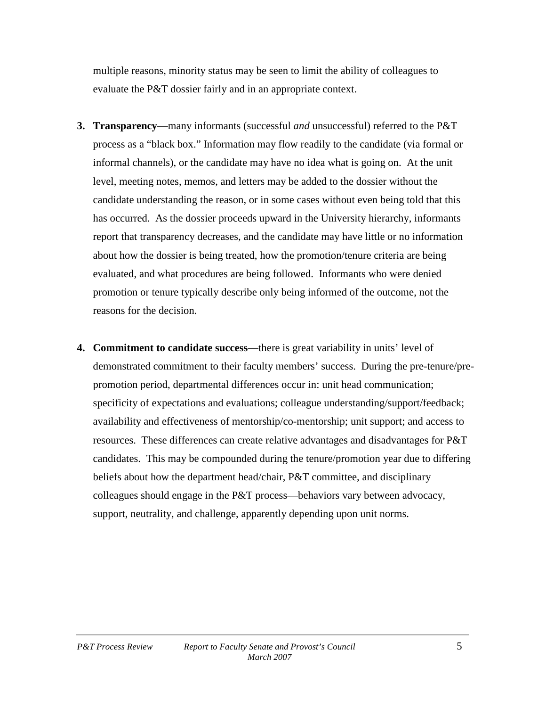multiple reasons, minority status may be seen to limit the ability of colleagues to evaluate the P&T dossier fairly and in an appropriate context.

- **3. Transparency**—many informants (successful *and* unsuccessful) referred to the P&T process as a "black box." Information may flow readily to the candidate (via formal or informal channels), or the candidate may have no idea what is going on. At the unit level, meeting notes, memos, and letters may be added to the dossier without the candidate understanding the reason, or in some cases without even being told that this has occurred. As the dossier proceeds upward in the University hierarchy, informants report that transparency decreases, and the candidate may have little or no information about how the dossier is being treated, how the promotion/tenure criteria are being evaluated, and what procedures are being followed. Informants who were denied promotion or tenure typically describe only being informed of the outcome, not the reasons for the decision.
- **4. Commitment to candidate success**—there is great variability in units' level of demonstrated commitment to their faculty members' success. During the pre-tenure/prepromotion period, departmental differences occur in: unit head communication; specificity of expectations and evaluations; colleague understanding/support/feedback; availability and effectiveness of mentorship/co-mentorship; unit support; and access to resources. These differences can create relative advantages and disadvantages for P&T candidates. This may be compounded during the tenure/promotion year due to differing beliefs about how the department head/chair, P&T committee, and disciplinary colleagues should engage in the P&T process—behaviors vary between advocacy, support, neutrality, and challenge, apparently depending upon unit norms.